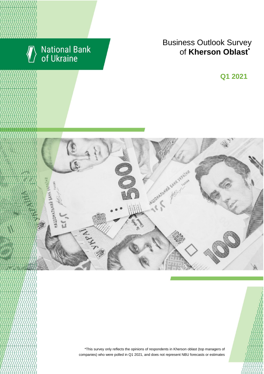

# National Bank<br>of Ukraine

# **Business Outlook Survey for Kherson Oblast**<sup>\*</sup>

**Q2 2018 Q1 2021**



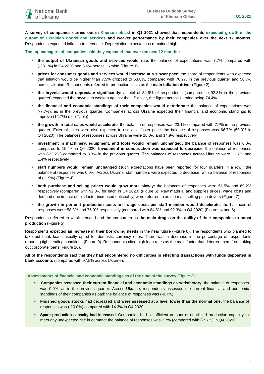**A survey of companies carried out in Kherson oblast in Q1 2021 showed that respondents expected growth in the output of Ukrainian goods and services and weaker performance by their companies over the next 12 months.** Respondents expected inflation to decrease. Depreciation expectations remained high.

**The top managers of companies said they expected that over the next 12 months:**

- **the output of Ukrainian goods and services would rise**: the balance of expectations was 7.7% compared with (-23.1%) in Q4 2020 and 5.6% across Ukraine (Figure 1)
- **prices for consumer goods and services would increase at a slower pace**: the share of respondents who expected that inflation would be higher than 7.5% dropped to 53.8%, compared with 76.9% in the previous quarter and 50.7% across Ukraine. Respondents referred to production costs as the **main inflation driver** (Figure 2)
- **the hryvnia would depreciate significantly:** a total of 84.6% of respondents (compared to 92.3% in the previous quarter) expected the hryvnia to weaken against the US dollar, the figure across Ukraine being 74.4%
- **the financial and economic standings of their companies would deteriorate:** the balance of expectations was (-7.7%), as in the previous quarter. Companies across Ukraine expected their financial and economic standings to improve (12.7%) (see Table)
- **the growth in total sales would accelerate**: the balance of responses was 23.1% compared with 7.7% in the previous quarter. External sales were also expected to rise at a faster pace: the balance of responses was 66.7% (50.0% in Q4 2020). The balances of responses across Ukraine were 18.0% and 14.9% respectively
- **investment in machinery, equipment, and tools would remain unchanged:** the balance of responses was 0.0% compared to 15.4% in Q4 2020. **Investment in construction was expected to decrease**: the balance of responses was (-22.2%) compared to 8.3% in the previous quarter. The balances of responses across Ukraine were 11.7% and 1.4% respectively
- **staff numbers would remain unchanged** (such expectations have been reported for four quarters in a row): the balance of responses was 0.0%. Across Ukraine, staff numbers were expected to decrease, with a balance of responses of (-1.9%) (Figure 4)
- **both purchase and selling prices would grow more slowly:** the balances of responses were 61.5% and 69.2% respectively (compared with 92.3% for each in Q4 2020) (Figure 6). Raw material and supplies prices, wage costs and demand (the impact of this factor increased noticeably) were referred to as the main selling price drivers (Figure 7)
- **the growth in per-unit production costs** and **wage costs per staff member would decelerate:** the balances of responses were 58.3% and 76.9% respectively (compared with 84.6% and 92.3% in Q4 2020) (Figures 4 and 6).

Respondents referred to weak demand and the tax burden as **the main drags on the ability of their companies to boost production** (Figure 5).

Respondents expected **an increase in their borrowing needs** in the near future (Figure 8). The respondents who planned to take out bank loans usually opted for domestic currency ones. There was a decrease in the percentage of respondents reporting tight lending conditions (Figure 9). Respondents cited high loan rates as the main factor that deterred them from taking out corporate loans (Figure 10).

**All of the respondents** said that **they had encountered no difficulties in effecting transactions with funds deposited in bank accounts** (compared with 97.5% across Ukraine).

# **Assessments of financial and economic standings as of the time of the survey** (Figure 3)

- **Companies assessed their current financial and economic standings as satisfactory:** the balance of responses was 0.0%, as in the previous quarter. Across Ukraine, respondents assessed the current financial and economic standings of their companies as bad: the balance of responses was (-0.7%).
- **Finished goods stocks** had decreased and **were assessed at a level lower than the normal one:** the balance of responses was (-10.0%) compared with 14.3% in Q4 2020.
- **Spare production capacity had increased.** Companies had a sufficient amount of unutilized production capacity to meet any unexpected rise in demand: the balance of responses was 7.7% (compared with (-7.7%) in Q4 2020).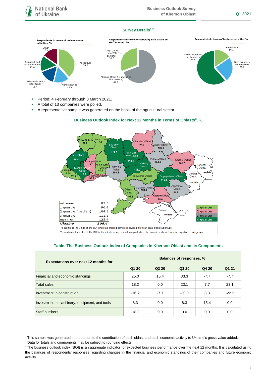# **Survey Details1,2**



- **Period: 4 February through 3 March 2021.**
- A total of 13 companies were polled.
- A representative sample was generated on the basis of the agricultural sector.

# **Business Outlook Index for Next 12 Months in Terms of Oblasts 3 , %**



\*a quartile is the value of the BOI where an ordered sample is divided into four equal-sized subgroups

\*\*a median is the value of the BOI in the middle of an ordered sampled where the sample is divided into two equal-sized subgroups

# **Table. The Business Outlook Index of Companies in Kherson Oblast and Its Components**

| <b>Expectations over next 12 months for</b>   | Balances of responses, % |                   |         |        |         |
|-----------------------------------------------|--------------------------|-------------------|---------|--------|---------|
|                                               | Q1 20                    | Q <sub>2</sub> 20 | Q3 20   | Q4 20  | Q1 21   |
| Financial and economic standings              | 25.0                     | 15.4              | 33.3    | $-7.7$ | $-7.7$  |
| <b>Total sales</b>                            | 18.2                     | 0.0               | 23.1    | 7.7    | 23.1    |
| Investment in construction                    | $-16.7$                  | $-7.7$            | $-30.0$ | 8.3    | $-22.2$ |
| Investment in machinery, equipment, and tools | 8.3                      | 0.0               | 8.3     | 15.4   | 0.0     |
| Staff numbers                                 | $-18.2$                  | 0.0               | 0.0     | 0.0    | 0.0     |

1

<sup>1</sup> This sample was generated in proportion to the contribution of each oblast and each economic activity to Ukraine's gross value added.

<sup>2</sup> Data for totals and components may be subject to rounding effects.

<sup>&</sup>lt;sup>3</sup> The business outlook index (BOI) is an aggregate indicator for expected business performance over the next 12 months. It is calculated using the balances of respondents' responses regarding changes in the financial and economic standings of their companies and future economic activity.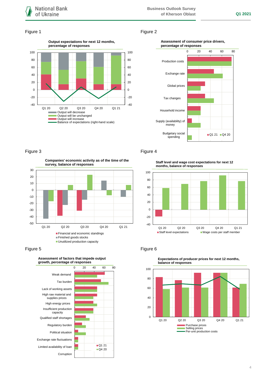

# Figure 1 Figure 2



# **Assessment of consumer price drivers, percentage of responses**



**Companies' economic activity as of the time of the survey, balance of responses**



Figure 5 **Figure 6** Figure 6



# Figure 3 **Figure 4**

**Staff level and wage cost expectations for next 12 months, balance of responses**





**Expectations of producer prices for next 12 months,**